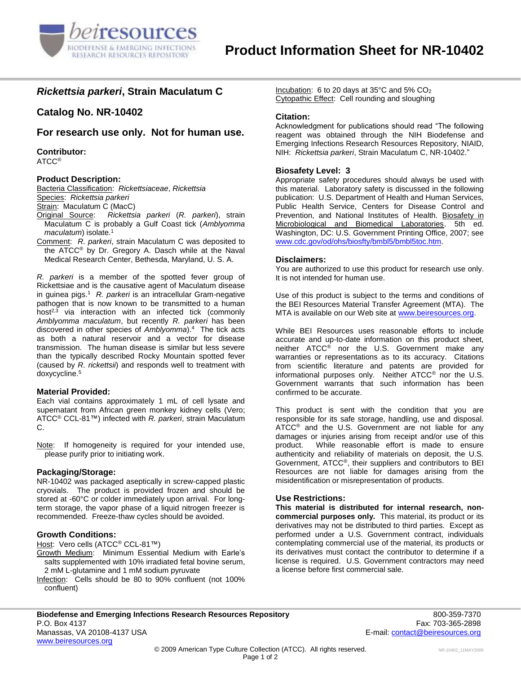

# *Rickettsia parkeri***, Strain Maculatum C**

**Catalog No. NR-10402**

**For research use only. Not for human use.**

**Contributor:**

ATCC®

## **Product Description:**

Bacteria Classification: *Rickettsiaceae*, *Rickettsia* Species: *Rickettsia parkeri*

Strain: Maculatum C (MacC)

- Original Source: *Rickettsia parkeri* (*R. parkeri*), strain Maculatum C is probably a Gulf Coast tick (*Amblyomma maculatum*) isolate.<sup>1</sup>
- Comment: *R. parkeri*, strain Maculatum C was deposited to the ATCC® by Dr. Gregory A. Dasch while at the Naval Medical Research Center, Bethesda, Maryland, U. S. A.

*R. parkeri* is a member of the spotted fever group of Rickettsiae and is the causative agent of Maculatum disease in guinea pigs.<sup>1</sup> R. parkeri is an intracellular Gram-negative pathogen that is now known to be transmitted to a human host<sup>2,3</sup> via interaction with an infected tick (commonly *Amblyomma maculatum*, but recently *R. parkeri* has been discovered in other species of *Amblyomma*).<sup>4</sup> The tick acts as both a natural reservoir and a vector for disease transmission. The human disease is similar but less severe than the typically described Rocky Mountain spotted fever (caused by *R. rickettsii*) and responds well to treatment with doxycycline.<sup>5</sup>

#### **Material Provided:**

Each vial contains approximately 1 mL of cell lysate and supernatant from African green monkey kidney cells (Vero; ATCC® CCL-81™) infected with *R. parkeri*, strain Maculatum C.

Note: If homogeneity is required for your intended use, please purify prior to initiating work.

## **Packaging/Storage:**

NR-10402 was packaged aseptically in screw-capped plastic cryovials. The product is provided frozen and should be stored at -60°C or colder immediately upon arrival. For longterm storage, the vapor phase of a liquid nitrogen freezer is recommended. Freeze-thaw cycles should be avoided.

## **Growth Conditions:**

Host: Vero cells (ATCC® CCL-81™)

- Growth Medium: Minimum Essential Medium with Earle's salts supplemented with 10% irradiated fetal bovine serum, 2 mM L-glutamine and 1 mM sodium pyruvate
- Infection: Cells should be 80 to 90% confluent (not 100% confluent)

Incubation: 6 to 20 days at  $35^{\circ}$ C and  $5\%$  CO<sub>2</sub> Cytopathic Effect: Cell rounding and sloughing

## **Citation:**

Acknowledgment for publications should read "The following reagent was obtained through the NIH Biodefense and Emerging Infections Research Resources Repository, NIAID, NIH: *Rickettsia parkeri*, Strain Maculatum C, NR-10402."

## **Biosafety Level: 3**

Appropriate safety procedures should always be used with this material. Laboratory safety is discussed in the following publication: U.S. Department of Health and Human Services, Public Health Service, Centers for Disease Control and Prevention, and National Institutes of Health. Biosafety in Microbiological and Biomedical Laboratories. 5th ed. Washington, DC: U.S. Government Printing Office, 2007; see [www.cdc.gov/od/ohs/biosfty/bmbl5/bmbl5toc.htm.](http://www.cdc.gov/od/ohs/biosfty/bmbl5/bmbl5toc.htm)

#### **Disclaimers:**

You are authorized to use this product for research use only. It is not intended for human use.

Use of this product is subject to the terms and conditions of the BEI Resources Material Transfer Agreement (MTA). The MTA is available on our Web site at [www.beiresources.org.](http://www.beiresources.org/)

While BEI Resources uses reasonable efforts to include accurate and up-to-date information on this product sheet, neither ATCC® nor the U.S. Government make any warranties or representations as to its accuracy. Citations from scientific literature and patents are provided for informational purposes only. Neither ATCC® nor the U.S. Government warrants that such information has been confirmed to be accurate.

This product is sent with the condition that you are responsible for its safe storage, handling, use and disposal. ATCC<sup>®</sup> and the U.S. Government are not liable for any damages or injuries arising from receipt and/or use of this product. While reasonable effort is made to ensure authenticity and reliability of materials on deposit, the U.S. Government, ATCC®, their suppliers and contributors to BEI Resources are not liable for damages arising from the misidentification or misrepresentation of products.

## **Use Restrictions:**

**This material is distributed for internal research, noncommercial purposes only.** This material, its product or its derivatives may not be distributed to third parties. Except as performed under a U.S. Government contract, individuals contemplating commercial use of the material, its products or its derivatives must contact the contributor to determine if a license is required. U.S. Government contractors may need a license before first commercial sale.

E-mail: [contact@beiresources.org](mailto:contact@beiresources.org)